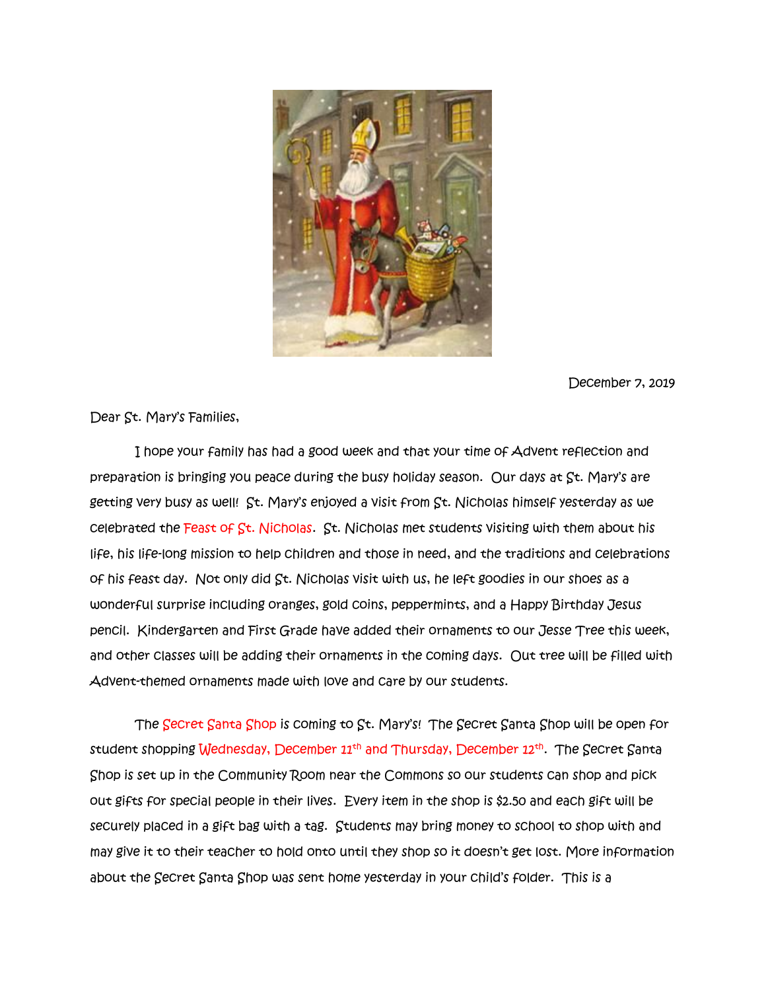

December 7, 2019

Dear St. Mary's Families,

 I hope your family has had a good week and that your time of Advent reflection and preparation is bringing you peace during the busy holiday season. Our days at St. Mary's are getting very busy as well! St. Mary's enjoyed a visit from St. Nicholas himself yesterday as we celebrated the Feast of St. Nicholas. St. Nicholas met students visiting with them about his life, his life-long mission to help children and those in need, and the traditions and celebrations of his feast day. Not only did St. Nicholas visit with us, he left goodies in our shoes as a wonderful surprise including oranges, gold coins, peppermints, and a Happy Birthday Jesus pencil. Kindergarten and First Grade have added their ornaments to our Jesse Tree this week, and other classes will be adding their ornaments in the coming days. Out tree will be filled with Advent-themed ornaments made with love and care by our students.

 The Secret Santa Shop is coming to St. Mary's! The Secret Santa Shop will be open for student shopping Wednesday, December 11<sup>th</sup> and Thursday, December 12<sup>th</sup>. The Secret Santa Shop is set up in the Community Room near the Commons so our students can shop and pick out gifts for special people in their lives. Every item in the shop is \$2.50 and each gift will be securely placed in a gift bag with a tag. Students may bring money to school to shop with and may give it to their teacher to hold onto until they shop so it doesn't get lost. More information about the Secret Santa Shop was sent home yesterday in your child's folder. This is a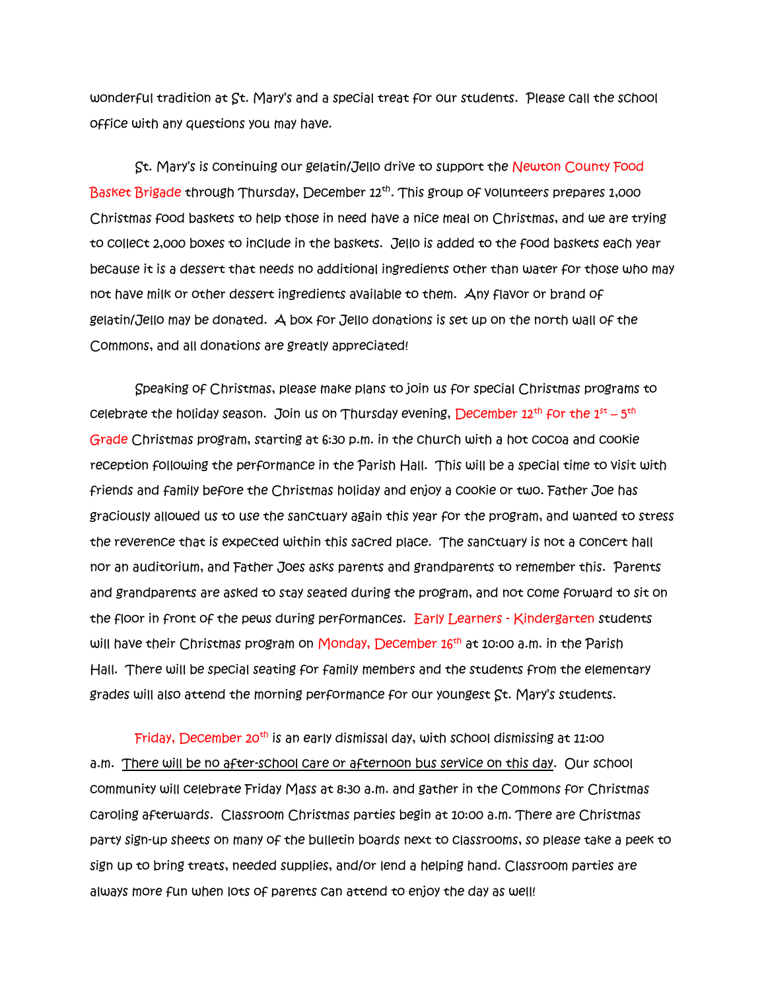wonderful tradition at St. Mary's and a special treat for our students. Please call the school office with any questions you may have.

St. Mary's is continuing our gelatin/Jello drive to support the Newton County Food Basket Brigade through Thursday, December 12<sup>th</sup>. This group of volunteers prepares 1,000 Christmas food baskets to help those in need have a nice meal on Christmas, and we are trying to collect 2,000 boxes to include in the baskets. Jello is added to the food baskets each year because it is a dessert that needs no additional ingredients other than water for those who may not have milk or other dessert ingredients available to them. Any flavor or brand of gelatin/Jello may be donated. A box for Jello donations is set up on the north wall of the Commons, and all donations are greatly appreciated!

Speaking of Christmas, please make plans to join us for special Christmas programs to celebrate the holiday season. Join us on Thursday evening, December  $12^{\text{th}}$  for the  $1^{\text{st}}$  –  $5^{\text{th}}$ Grade Christmas program, starting at 6:30 p.m. in the church with a hot cocoa and cookie reception following the performance in the Parish Hall. This will be a special time to visit with friends and family before the Christmas holiday and enjoy a cookie or two. Father Joe has graciously allowed us to use the sanctuary again this year for the program, and wanted to stress the reverence that is expected within this sacred place. The sanctuary is not a concert hall nor an auditorium, and Father Joes asks parents and grandparents to remember this. Parents and grandparents are asked to stay seated during the program, and not come forward to sit on the floor in front of the pews during performances. Early Learners - Kindergarten students will have their Christmas program on Monday, December 16<sup>th</sup> at 10:00 a.m. in the Parish Hall. There will be special seating for family members and the students from the elementary grades will also attend the morning performance for our youngest St. Mary's students.

Friday, December 20<sup>th</sup> is an early dismissal day, with school dismissing at 11:00 a.m. There will be no after-school care or afternoon bus service on this day. Our school community will celebrate Friday Mass at 8:30 a.m. and gather in the Commons for Christmas caroling afterwards. Classroom Christmas parties begin at 10:00 a.m. There are Christmas party sign-up sheets on many of the bulletin boards next to classrooms, so please take a peek to sign up to bring treats, needed supplies, and/or lend a helping hand. Classroom parties are always more fun when lots of parents can attend to enjoy the day as well!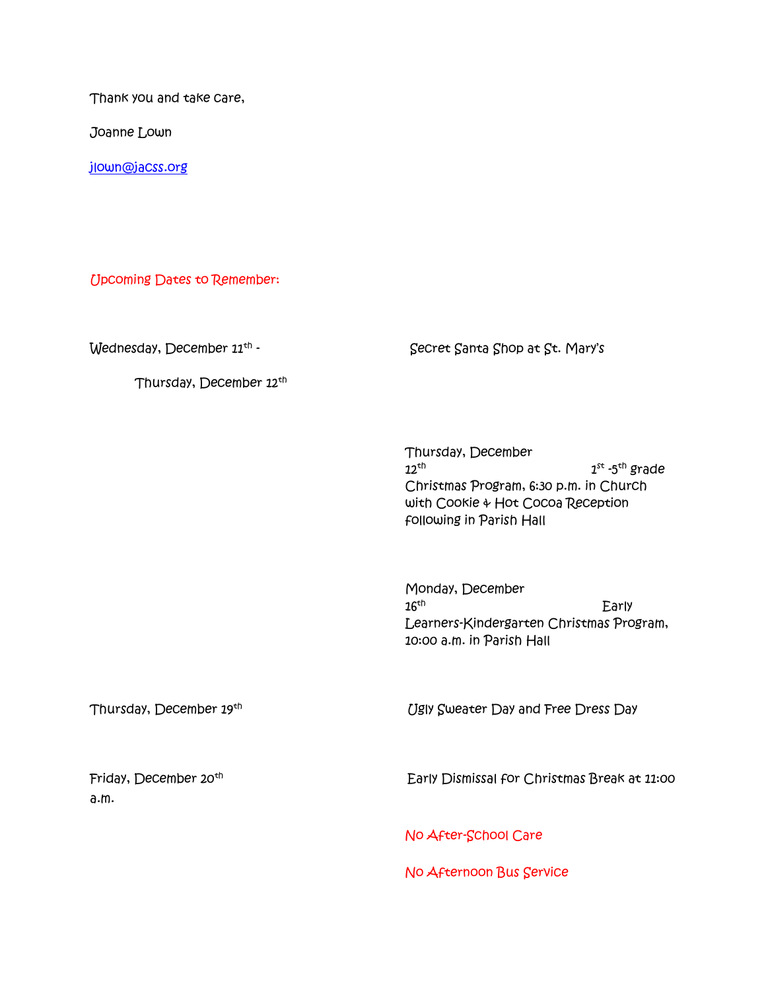Thank you and take care,

Joanne Lown

[jlown@jacss.org](mailto:jlown@jacss.org)

Upcoming Dates to Remember:

Thursday, December 12th

 $W$ ednesday, December  $11<sup>th</sup>$  - Secret Santa Shop at St. Mary's

Thursday, December  $12$ <sup>th</sup> 1 <sup>st</sup> -5<sup>th</sup> grade Christmas Program, 6:30 p.m. in Church with Cookie & Hot Cocoa Reception following in Parish Hall

Monday, December  $16^{th}$  Early Learners-Kindergarten Christmas Program, 10:00 a.m. in Parish Hall

Thursday, December 19th

Ugly Sweater Day and Free Dress Day

Friday, December 20<sup>th</sup> a.m.

Early Dismissal for Christmas Break at 11:00

No After-School Care

No Afternoon Bus Service